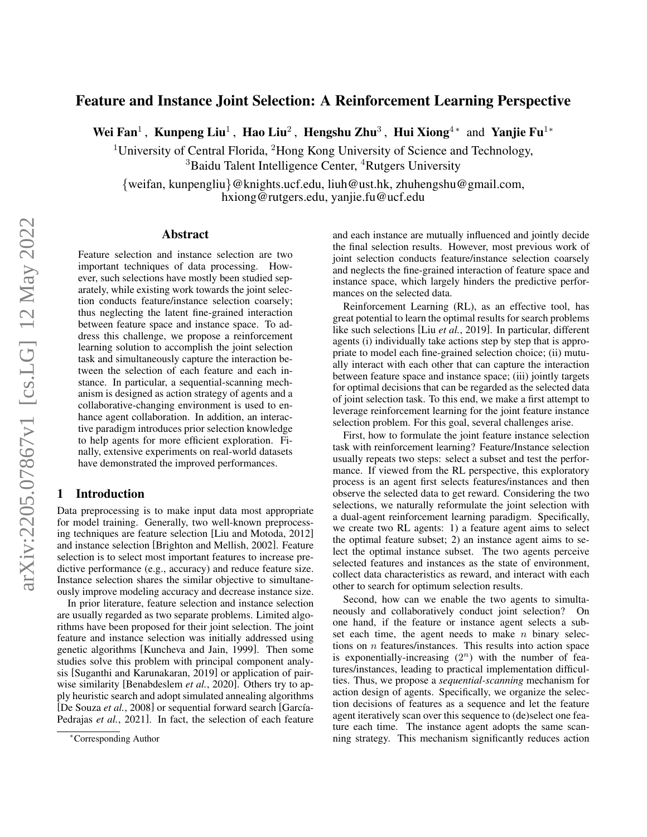# Feature and Instance Joint Selection: A Reinforcement Learning Perspective

Wei Fan<sup>1</sup>, Kunpeng Liu<sup>1</sup>, Hao Liu<sup>2</sup>, Hengshu Zhu<sup>3</sup>, Hui Xiong<sup>4\*</sup> and Yanjie Fu<sup>1\*</sup>

<sup>1</sup>University of Central Florida,  ${}^{2}$ Hong Kong University of Science and Technology, <sup>3</sup>Baidu Talent Intelligence Center, <sup>4</sup>Rutgers University

{weifan, kunpengliu}@knights.ucf.edu, liuh@ust.hk, zhuhengshu@gmail.com, hxiong@rutgers.edu, yanjie.fu@ucf.edu

### Abstract

Feature selection and instance selection are two important techniques of data processing. However, such selections have mostly been studied separately, while existing work towards the joint selection conducts feature/instance selection coarsely; thus neglecting the latent fine-grained interaction between feature space and instance space. To address this challenge, we propose a reinforcement learning solution to accomplish the joint selection task and simultaneously capture the interaction between the selection of each feature and each instance. In particular, a sequential-scanning mechanism is designed as action strategy of agents and a collaborative-changing environment is used to enhance agent collaboration. In addition, an interactive paradigm introduces prior selection knowledge to help agents for more efficient exploration. Finally, extensive experiments on real-world datasets have demonstrated the improved performances.

# 1 Introduction

Data preprocessing is to make input data most appropriate for model training. Generally, two well-known preprocessing techniques are feature selection [\[Liu and Motoda, 2012\]](#page-6-0) and instance selection [\[Brighton and Mellish, 2002\]](#page-6-1). Feature selection is to select most important features to increase predictive performance (e.g., accuracy) and reduce feature size. Instance selection shares the similar objective to simultaneously improve modeling accuracy and decrease instance size.

In prior literature, feature selection and instance selection are usually regarded as two separate problems. Limited algorithms have been proposed for their joint selection. The joint feature and instance selection was initially addressed using genetic algorithms [\[Kuncheva and Jain, 1999\]](#page-6-2). Then some studies solve this problem with principal component analysis [\[Suganthi and Karunakaran, 2019\]](#page-7-0) or application of pairwise similarity [\[Benabdeslem](#page-6-3) *et al.*, 2020]. Others try to apply heuristic search and adopt simulated annealing algorithms [\[De Souza](#page-6-4) et al., 2008] or sequential forward search [García-[Pedrajas](#page-6-5) *et al.*, 2021]. In fact, the selection of each feature and each instance are mutually influenced and jointly decide the final selection results. However, most previous work of joint selection conducts feature/instance selection coarsely and neglects the fine-grained interaction of feature space and instance space, which largely hinders the predictive performances on the selected data.

Reinforcement Learning (RL), as an effective tool, has great potential to learn the optimal results for search problems like such selections [Liu *et al.*[, 2019\]](#page-6-6). In particular, different agents (i) individually take actions step by step that is appropriate to model each fine-grained selection choice; (ii) mutually interact with each other that can capture the interaction between feature space and instance space; (iii) jointly targets for optimal decisions that can be regarded as the selected data of joint selection task. To this end, we make a first attempt to leverage reinforcement learning for the joint feature instance selection problem. For this goal, several challenges arise.

First, how to formulate the joint feature instance selection task with reinforcement learning? Feature/Instance selection usually repeats two steps: select a subset and test the performance. If viewed from the RL perspective, this exploratory process is an agent first selects features/instances and then observe the selected data to get reward. Considering the two selections, we naturally reformulate the joint selection with a dual-agent reinforcement learning paradigm. Specifically, we create two RL agents: 1) a feature agent aims to select the optimal feature subset; 2) an instance agent aims to select the optimal instance subset. The two agents perceive selected features and instances as the state of environment, collect data characteristics as reward, and interact with each other to search for optimum selection results.

Second, how can we enable the two agents to simultaneously and collaboratively conduct joint selection? On one hand, if the feature or instance agent selects a subset each time, the agent needs to make  $n$  binary selections on  $n$  features/instances. This results into action space is exponentially-increasing  $(2^n)$  with the number of features/instances, leading to practical implementation difficulties. Thus, we propose a *sequential-scanning* mechanism for action design of agents. Specifically, we organize the selection decisions of features as a sequence and let the feature agent iteratively scan over this sequence to (de)select one feature each time. The instance agent adopts the same scanning strategy. This mechanism significantly reduces action

<sup>∗</sup>Corresponding Author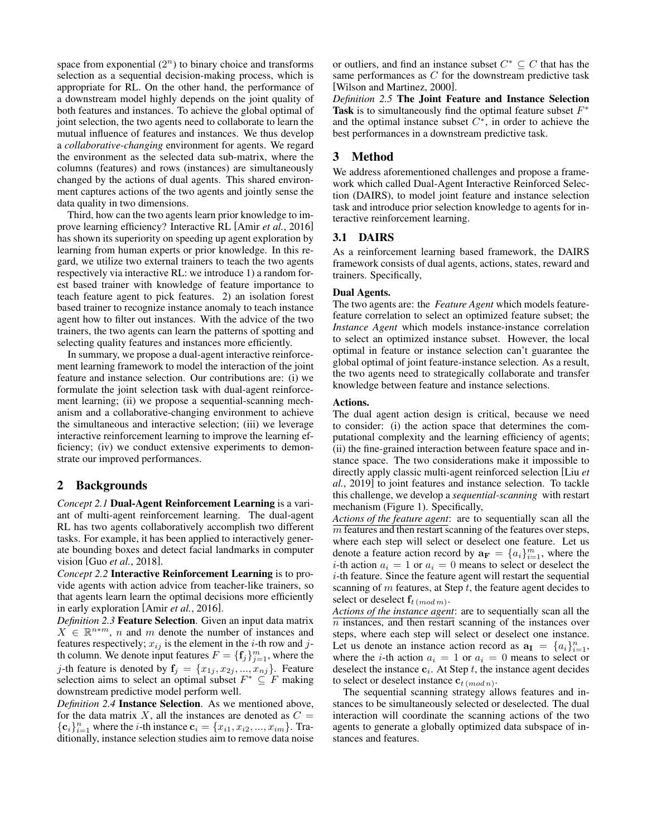space from exponential  $(2^n)$  to binary choice and transforms selection as a sequential decision-making process, which is appropriate for RL. On the other hand, the performance of a downstream model highly depends on the joint quality of both features and instances. To achieve the global optimal of joint selection, the two agents need to collaborate to learn the mutual influence of features and instances. We thus develop a *collaborative-changing* environment for agents. We regard the environment as the selected data sub-matrix, where the columns (features) and rows (instances) are simultaneously changed by the actions of dual agents. This shared environment captures actions of the two agents and jointly sense the data quality in two dimensions.

Third, how can the two agents learn prior knowledge to improve learning efficiency? Interactive RL [Amir *et al.*[, 2016\]](#page-6-7) has shown its superiority on speeding up agent exploration by learning from human experts or prior knowledge. In this regard, we utilize two external trainers to teach the two agents respectively via interactive RL: we introduce 1) a random forest based trainer with knowledge of feature importance to teach feature agent to pick features. 2) an isolation forest based trainer to recognize instance anomaly to teach instance agent how to filter out instances. With the advice of the two trainers, the two agents can learn the patterns of spotting and selecting quality features and instances more efficiently.

In summary, we propose a dual-agent interactive reinforcement learning framework to model the interaction of the joint feature and instance selection. Our contributions are: (i) we formulate the joint selection task with dual-agent reinforcement learning; (ii) we propose a sequential-scanning mechanism and a collaborative-changing environment to achieve the simultaneous and interactive selection; (iii) we leverage interactive reinforcement learning to improve the learning efficiency; (iv) we conduct extensive experiments to demonstrate our improved performances.

# 2 Backgrounds

*Concept 2.1* Dual-Agent Reinforcement Learning is a variant of multi-agent reinforcement learning. The dual-agent RL has two agents collaboratively accomplish two different tasks. For example, it has been applied to interactively generate bounding boxes and detect facial landmarks in computer vision [Guo *et al.*[, 2018\]](#page-6-8).

*Concept 2.2* Interactive Reinforcement Learning is to provide agents with action advice from teacher-like trainers, so that agents learn learn the optimal decisions more efficiently in early exploration [Amir *et al.*[, 2016\]](#page-6-7).

*Definition 2.3* Feature Selection. Given an input data matrix  $X \in \mathbb{R}^{n+m}$ , *n* and *m* denote the number of instances and features respectively;  $x_{ij}$  is the element in the *i*-th row and *j*th column. We denote input features  $F = \{f_j\}_{j=1}^m$ , where the *j*-th feature is denoted by  $f_j = \{x_{1j}, x_{2j}, ..., x_{nj}\}$ . Feature selection aims to select an optimal subset  $F^* \subseteq F$  making downstream predictive model perform well.

*Definition 2.4* Instance Selection. As we mentioned above, for the data matrix X, all the instances are denoted as  $C =$  ${c_i}_{i=1}^n$  where the *i*-th instance  $c_i = {x_{i1}, x_{i2}, ..., x_{im}}$ . Traditionally, instance selection studies aim to remove data noise

or outliers, and find an instance subset  $C^* \subseteq C$  that has the same performances as  $C$  for the downstream predictive task [\[Wilson and Martinez, 2000\]](#page-7-1).

*Definition 2.5* The Joint Feature and Instance Selection Task is to simultaneously find the optimal feature subset  $F^*$ and the optimal instance subset  $C^*$ , in order to achieve the best performances in a downstream predictive task.

# 3 Method

We address aforementioned challenges and propose a framework which called Dual-Agent Interactive Reinforced Selection (DAIRS), to model joint feature and instance selection task and introduce prior selection knowledge to agents for interactive reinforcement learning.

## 3.1 DAIRS

As a reinforcement learning based framework, the DAIRS framework consists of dual agents, actions, states, reward and trainers. Specifically,

### Dual Agents.

The two agents are: the *Feature Agent* which models featurefeature correlation to select an optimized feature subset; the *Instance Agent* which models instance-instance correlation to select an optimized instance subset. However, the local optimal in feature or instance selection can't guarantee the global optimal of joint feature-instance selection. As a result, the two agents need to strategically collaborate and transfer knowledge between feature and instance selections.

### Actions.

The dual agent action design is critical, because we need to consider: (i) the action space that determines the computational complexity and the learning efficiency of agents; (ii) the fine-grained interaction between feature space and instance space. The two considerations make it impossible to directly apply classic multi-agent reinforced selection [\[Liu](#page-6-6) *et al.*[, 2019\]](#page-6-6) to joint features and instance selection. To tackle this challenge, we develop a *sequential-scanning* with restart mechanism (Figure [1\)](#page-2-0). Specifically,

*Actions of the feature agent*: are to sequentially scan all the  $\overline{m}$  features and then restart scanning of the features over steps, where each step will select or deselect one feature. Let us denote a feature action record by  $\mathbf{a_F} = \{a_i\}_{i=1}^m$ , where the *i*-th action  $a_i = 1$  or  $a_i = 0$  means to select or deselect the i-th feature. Since the feature agent will restart the sequential scanning of  $m$  features, at Step  $t$ , the feature agent decides to select or deselect  $\mathbf{f}_{t \, (mod \, m)}$ .

*Actions of the instance agent*: are to sequentially scan all the  $n$  instances, and then restart scanning of the instances over steps, where each step will select or deselect one instance. Let us denote an instance action record as  $\mathbf{a}_{I} = \{a_i\}_{i=1}^n$ , where the *i*-th action  $a_i = 1$  or  $a_i = 0$  means to select or deselect the instance  $c_i$ . At Step t, the instance agent decides to select or deselect instance  $\mathbf{c}_{t \, (mod \, n)}$ .

The sequential scanning strategy allows features and instances to be simultaneously selected or deselected. The dual interaction will coordinate the scanning actions of the two agents to generate a globally optimized data subspace of instances and features.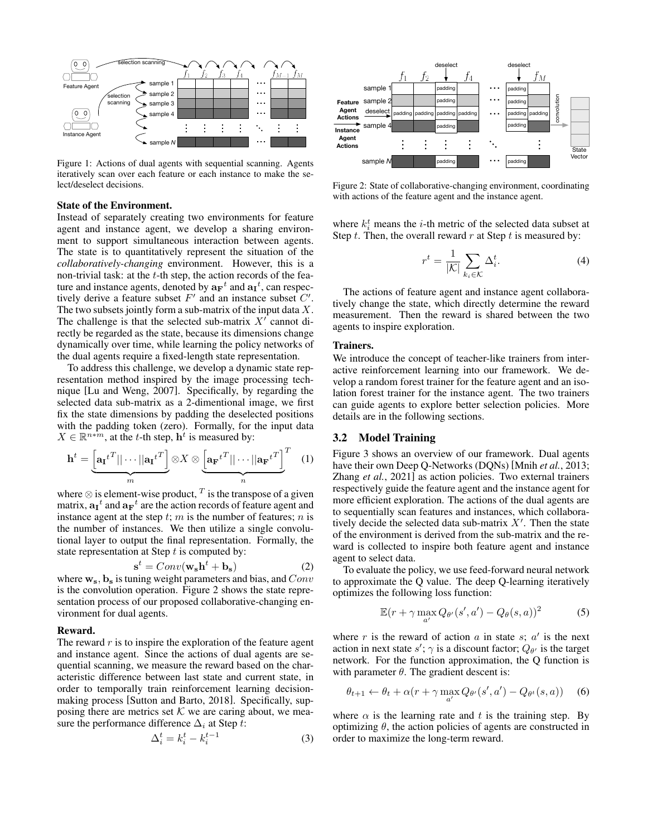<span id="page-2-0"></span>

Figure 1: Actions of dual agents with sequential scanning. Agents iteratively scan over each feature or each instance to make the select/deselect decisions.

#### State of the Environment.

Instead of separately creating two environments for feature agent and instance agent, we develop a sharing environment to support simultaneous interaction between agents. The state is to quantitatively represent the situation of the *collaboratively-changing* environment. However, this is a non-trivial task: at the  $t$ -th step, the action records of the feature and instance agents, denoted by  $\mathbf{a_F}^t$  and  $\mathbf{a_I}^t$ , can respectively derive a feature subset  $F'$  and an instance subset  $C'$ . The two subsets jointly form a sub-matrix of the input data  $X$ . The challenge is that the selected sub-matrix  $X^{\prime}$  cannot directly be regarded as the state, because its dimensions change dynamically over time, while learning the policy networks of the dual agents require a fixed-length state representation.

To address this challenge, we develop a dynamic state representation method inspired by the image processing technique [\[Lu and Weng, 2007\]](#page-6-9). Specifically, by regarding the selected data sub-matrix as a 2-dimentional image, we first fix the state dimensions by padding the deselected positions with the padding token (zero). Formally, for the input data  $X \in \mathbb{R}^{n \times m}$ , at the t-th step,  $h^t$  is measured by:

$$
\mathbf{h}^{t} = \underbrace{\begin{bmatrix} \mathbf{a_I}^{t^T} || \cdots ||\mathbf{a_I}^{t^T} \end{bmatrix}}_{m} \otimes X \otimes \underbrace{\begin{bmatrix} \mathbf{a_F}^{t^T} || \cdots ||\mathbf{a_F}^{t^T} \end{bmatrix}}_{n}^{T} \quad (1)
$$

where  $\otimes$  is element-wise product,  $^T$  is the transpose of a given matrix,  $\mathbf{a_I}^t$  and  $\mathbf{a_F}^t$  are the action records of feature agent and instance agent at the step  $t$ ;  $m$  is the number of features;  $n$  is the number of instances. We then utilize a single convolutional layer to output the final representation. Formally, the state representation at Step  $t$  is computed by:

$$
\mathbf{s}^t = Conv(\mathbf{w_s h}^t + \mathbf{b_s})\tag{2}
$$

where  $\mathbf{w}_s$ ,  $\mathbf{b}_s$  is tuning weight parameters and bias, and  $Conv$ is the convolution operation. Figure [2](#page-2-1) shows the state representation process of our proposed collaborative-changing environment for dual agents.

#### Reward.

The reward  $r$  is to inspire the exploration of the feature agent and instance agent. Since the actions of dual agents are sequential scanning, we measure the reward based on the characteristic difference between last state and current state, in order to temporally train reinforcement learning decisionmaking process [\[Sutton and Barto, 2018\]](#page-7-2). Specifically, supposing there are metrics set  $K$  we are caring about, we measure the performance difference  $\Delta_i$  at Step t:

$$
\Delta_i^t = k_i^t - k_i^{t-1} \tag{3}
$$

<span id="page-2-1"></span>

Figure 2: State of collaborative-changing environment, coordinating with actions of the feature agent and the instance agent.

where  $k_i^t$  means the *i*-th metric of the selected data subset at Step  $t$ . Then, the overall reward  $r$  at Step  $t$  is measured by:

$$
r^t = \frac{1}{|\mathcal{K}|} \sum_{k_i \in \mathcal{K}} \Delta_i^t.
$$
 (4)

The actions of feature agent and instance agent collaboratively change the state, which directly determine the reward measurement. Then the reward is shared between the two agents to inspire exploration.

#### Trainers.

We introduce the concept of teacher-like trainers from interactive reinforcement learning into our framework. We develop a random forest trainer for the feature agent and an isolation forest trainer for the instance agent. The two trainers can guide agents to explore better selection policies. More details are in the following sections.

### 3.2 Model Training

Figure [3](#page-3-0) shows an overview of our framework. Dual agents have their own Deep Q-Networks (DQNs) [Mnih *et al.*[, 2013;](#page-6-10) Zhang *et al.*[, 2021\]](#page-7-3) as action policies. Two external trainers respectively guide the feature agent and the instance agent for more efficient exploration. The actions of the dual agents are to sequentially scan features and instances, which collaboratively decide the selected data sub-matrix  $X'$ . Then the state of the environment is derived from the sub-matrix and the reward is collected to inspire both feature agent and instance agent to select data.

To evaluate the policy, we use feed-forward neural network to approximate the Q value. The deep Q-learning iteratively optimizes the following loss function:

$$
\mathbb{E}(r + \gamma \max_{a'} Q_{\theta'}(s', a') - Q_{\theta}(s, a))^2 \tag{5}
$$

where r is the reward of action a in state  $s$ ;  $a'$  is the next action in next state  $s'$ ;  $\gamma$  is a discount factor;  $Q_{\theta'}$  is the target network. For the function approximation, the Q function is with parameter  $\theta$ . The gradient descent is:

$$
\theta_{t+1} \leftarrow \theta_t + \alpha (r + \gamma \max_{a'} Q_{\theta'}(s', a') - Q_{\theta^t}(s, a)) \tag{6}
$$

where  $\alpha$  is the learning rate and t is the training step. By optimizing  $\theta$ , the action policies of agents are constructed in order to maximize the long-term reward.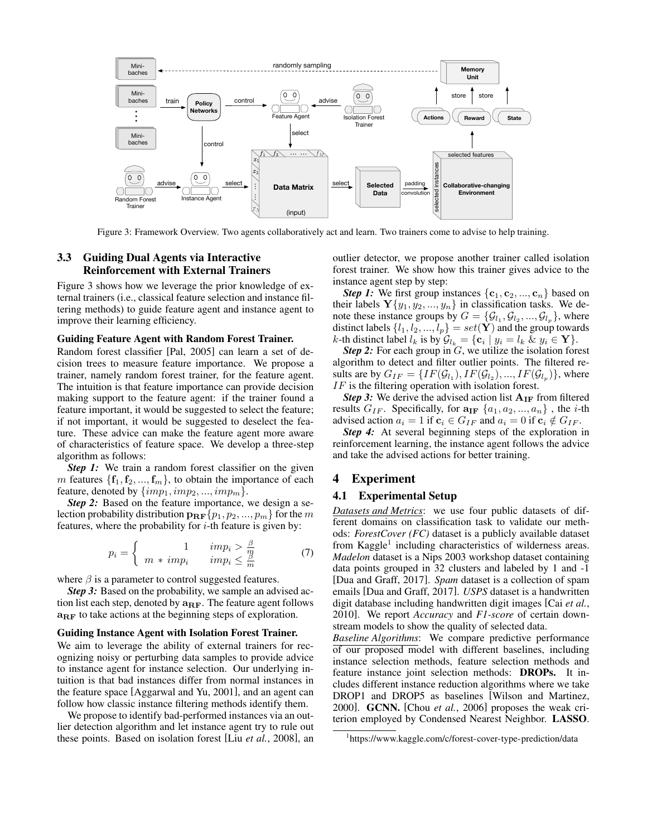<span id="page-3-0"></span>

Figure 3: Framework Overview. Two agents collaboratively act and learn. Two trainers come to advise to help training.

## 3.3 Guiding Dual Agents via Interactive Reinforcement with External Trainers

Figure [3](#page-3-0) shows how we leverage the prior knowledge of external trainers (i.e., classical feature selection and instance filtering methods) to guide feature agent and instance agent to improve their learning efficiency.

#### Guiding Feature Agent with Random Forest Trainer.

Random forest classifier [\[Pal, 2005\]](#page-7-4) can learn a set of decision trees to measure feature importance. We propose a trainer, namely random forest trainer, for the feature agent. The intuition is that feature importance can provide decision making support to the feature agent: if the trainer found a feature important, it would be suggested to select the feature; if not important, it would be suggested to deselect the feature. These advice can make the feature agent more aware of characteristics of feature space. We develop a three-step algorithm as follows:

*Step 1:* We train a random forest classifier on the given m features  $\{f_1, f_2, ..., f_m\}$ , to obtain the importance of each feature, denoted by  $\{imp_1, imp_2, ..., imp_m\}$ .

*Step 2:* Based on the feature importance, we design a selection probability distribution  $\mathbf{p_{RF}}\{p_1, p_2, ..., p_m\}$  for the m features, where the probability for  $i$ -th feature is given by:

$$
p_i = \begin{cases} 1 & \text{imp}_i > \frac{\beta}{m} \\ m * \text{imp}_i & \text{imp}_i \le \frac{\beta}{m} \end{cases} \tag{7}
$$

where  $\beta$  is a parameter to control suggested features.

*Step 3:* Based on the probability, we sample an advised action list each step, denoted by  $a_{RF}$ . The feature agent follows  $a_{RF}$  to take actions at the beginning steps of exploration.

## Guiding Instance Agent with Isolation Forest Trainer.

We aim to leverage the ability of external trainers for recognizing noisy or perturbing data samples to provide advice to instance agent for instance selection. Our underlying intuition is that bad instances differ from normal instances in the feature space [\[Aggarwal and Yu, 2001\]](#page-6-11), and an agent can follow how classic instance filtering methods identify them.

We propose to identify bad-performed instances via an outlier detection algorithm and let instance agent try to rule out these points. Based on isolation forest [Liu *et al.*[, 2008\]](#page-6-12), an outlier detector, we propose another trainer called isolation forest trainer. We show how this trainer gives advice to the instance agent step by step:

*Step 1:* We first group instances  $\{c_1, c_2, ..., c_n\}$  based on their labels  ${\bf Y}\{y_1, y_2, ..., y_n\}$  in classification tasks. We denote these instance groups by  $G = \{G_{l_1}, G_{l_2}, ..., G_{l_p}\}\$ , where distinct labels  $\{l_1, l_2, ..., l_p\} = set(\hat{\mathbf{Y}})$  and the group towards k-th distinct label  $l_k$  is by  $\mathcal{G}_{l_k} = \{ \mathbf{c}_i \mid y_i = l_k \& y_i \in \mathbf{Y} \}.$ 

*Step 2:* For each group in G, we utilize the isolation forest algorithm to detect and filter outlier points. The filtered results are by  $G_{IF} = \{IF(\mathcal{G}_{l_1}), IF(\mathcal{G}_{l_2}), ..., IF(\mathcal{G}_{l_p})\}$ , where IF is the filtering operation with isolation forest.

*Step 3:* We derive the advised action list  $A_{IF}$  from filtered results  $G_{IF}$ . Specifically, for  $\mathbf{a_{IF}} \{a_1, a_2, ..., a_n\}$ , the *i*-th advised action  $a_i = 1$  if  $\mathbf{c}_i \in G_{IF}$  and  $a_i = 0$  if  $\mathbf{c}_i \notin G_{IF}$ .

*Step 4:* At several beginning steps of the exploration in reinforcement learning, the instance agent follows the advice and take the advised actions for better training.

## 4 Experiment

### 4.1 Experimental Setup

*Datasets and Metrics*: we use four public datasets of different domains on classification task to validate our methods: *ForestCover (FC)* dataset is a publicly available dataset from Kaggle<sup>[1](#page-3-1)</sup> including characteristics of wilderness areas. *Madelon* dataset is a Nips 2003 workshop dataset containing data points grouped in 32 clusters and labeled by 1 and -1 [\[Dua and Graff, 2017\]](#page-6-13). *Spam* dataset is a collection of spam emails [\[Dua and Graff, 2017\]](#page-6-13). *USPS* dataset is a handwritten digit database including handwritten digit images [Cai *[et al.](#page-6-14)*, [2010\]](#page-6-14). We report *Accuracy* and *F1-score* of certain downstream models to show the quality of selected data.

*Baseline Algorithms*: We compare predictive performance of our proposed model with different baselines, including instance selection methods, feature selection methods and feature instance joint selection methods: DROPs. It includes different instance reduction algorithms where we take DROP1 and DROP5 as baselines [\[Wilson and Martinez,](#page-7-1) [2000\]](#page-7-1). GCNN. [Chou *et al.*[, 2006\]](#page-6-15) proposes the weak criterion employed by Condensed Nearest Neighbor. LASSO.

<span id="page-3-1"></span><sup>1</sup> <https://www.kaggle.com/c/forest-cover-type-prediction/data>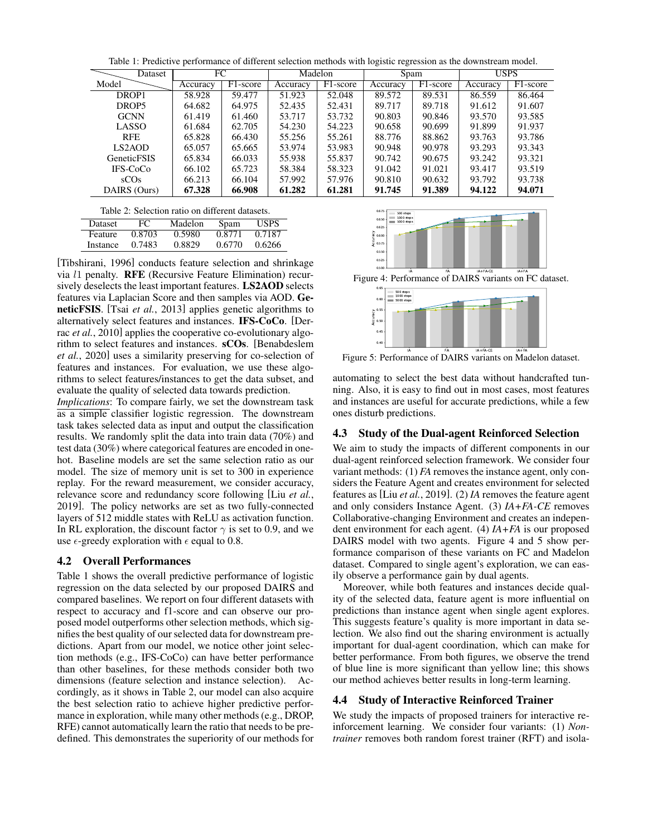Table 1: Predictive performance of different selection methods with logistic regression as the downstream model.

<span id="page-4-0"></span>

| Dataset             |  | FC       |                       | Madelon  |                       | Spam     |                       | <b>USPS</b> |                       |
|---------------------|--|----------|-----------------------|----------|-----------------------|----------|-----------------------|-------------|-----------------------|
| Model               |  | Accuracy | F <sub>1</sub> -score | Accuracy | F <sub>1</sub> -score | Accuracy | F <sub>1</sub> -score | Accuracy    | F <sub>1</sub> -score |
| DROP1               |  | 58.928   | 59.477                | 51.923   | 52.048                | 89.572   | 89.531                | 86.559      | 86.464                |
| DROP5               |  | 64.682   | 64.975                | 52.435   | 52.431                | 89.717   | 89.718                | 91.612      | 91.607                |
| <b>GCNN</b>         |  | 61.419   | 61.460                | 53.717   | 53.732                | 90.803   | 90.846                | 93.570      | 93.585                |
| <b>LASSO</b>        |  | 61.684   | 62.705                | 54.230   | 54.223                | 90.658   | 90.699                | 91.899      | 91.937                |
| <b>RFE</b>          |  | 65.828   | 66.430                | 55.256   | 55.261                | 88.776   | 88.862                | 93.763      | 93.786                |
| LS <sub>2</sub> AOD |  | 65.057   | 65.665                | 53.974   | 53.983                | 90.948   | 90.978                | 93.293      | 93.343                |
| <b>GeneticFSIS</b>  |  | 65.834   | 66.033                | 55.938   | 55.837                | 90.742   | 90.675                | 93.242      | 93.321                |
| IFS-CoCo            |  | 66.102   | 65.723                | 58.384   | 58.323                | 91.042   | 91.021                | 93.417      | 93.519                |
| sCOS                |  | 66.213   | 66.104                | 57.992   | 57.976                | 90.810   | 90.632                | 93.792      | 93.738                |
| DAIRS (Ours)        |  | 67.328   | 66.908                | 61.282   | 61.281                | 91.745   | 91.389                | 94.122      | 94.071                |

<span id="page-4-1"></span>

| Dataset  | FC     | Madelon | Spam   | <b>USPS</b> |
|----------|--------|---------|--------|-------------|
| Feature  | 0.8703 | 0.5980  | 0.8771 | 0.7187      |
| Instance | 0.7483 | 0.8829  | 0.6770 | 0.6266      |

[\[Tibshirani, 1996\]](#page-7-5) conducts feature selection and shrinkage via l1 penalty. RFE (Recursive Feature Elimination) recursively deselects the least important features. LS2AOD selects features via Laplacian Score and then samples via AOD. GeneticFSIS. [Tsai *et al.*[, 2013\]](#page-7-6) applies genetic algorithms to alternatively select features and instances. IFS-CoCo. [\[Der](#page-6-16)rac *et al.*[, 2010\]](#page-6-16) applies the cooperative co-evolutionary algorithm to select features and instances. sCOs. [\[Benabdeslem](#page-6-3) *et al.*[, 2020\]](#page-6-3) uses a similarity preserving for co-selection of features and instances. For evaluation, we use these algorithms to select features/instances to get the data subset, and evaluate the quality of selected data towards prediction.

*Implications*: To compare fairly, we set the downstream task as a simple classifier logistic regression. The downstream task takes selected data as input and output the classification results. We randomly split the data into train data (70%) and test data (30%) where categorical features are encoded in onehot. Baseline models are set the same selection ratio as our model. The size of memory unit is set to 300 in experience replay. For the reward measurement, we consider accuracy, relevance score and redundancy score following [Liu *[et al.](#page-6-6)*, [2019\]](#page-6-6). The policy networks are set as two fully-connected layers of 512 middle states with ReLU as activation function. In RL exploration, the discount factor  $\gamma$  is set to 0.9, and we use  $\epsilon$ -greedy exploration with  $\epsilon$  equal to 0.8.

## 4.2 Overall Performances

Table [1](#page-4-0) shows the overall predictive performance of logistic regression on the data selected by our proposed DAIRS and compared baselines. We report on four different datasets with respect to accuracy and f1-score and can observe our proposed model outperforms other selection methods, which signifies the best quality of our selected data for downstream predictions. Apart from our model, we notice other joint selection methods (e.g., IFS-CoCo) can have better performance than other baselines, for these methods consider both two dimensions (feature selection and instance selection). Accordingly, as it shows in Table [2,](#page-4-1) our model can also acquire the best selection ratio to achieve higher predictive performance in exploration, while many other methods (e.g., DROP, RFE) cannot automatically learn the ratio that needs to be predefined. This demonstrates the superiority of our methods for

<span id="page-4-2"></span>

<span id="page-4-3"></span>Figure 4: Performance of DAIRS variants on FC dataset.



Figure 5: Performance of DAIRS variants on Madelon dataset.

automating to select the best data without handcrafted tunning. Also, it is easy to find out in most cases, most features and instances are useful for accurate predictions, while a few ones disturb predictions.

## 4.3 Study of the Dual-agent Reinforced Selection

We aim to study the impacts of different components in our dual-agent reinforced selection framework. We consider four variant methods: (1) *FA* removes the instance agent, only considers the Feature Agent and creates environment for selected features as [Liu *et al.*[, 2019\]](#page-6-6). (2) *IA* removes the feature agent and only considers Instance Agent. (3) *IA+FA-CE* removes Collaborative-changing Environment and creates an independent environment for each agent. (4) *IA+FA* is our proposed DAIRS model with two agents. Figure [4](#page-4-2) and [5](#page-4-3) show performance comparison of these variants on FC and Madelon dataset. Compared to single agent's exploration, we can easily observe a performance gain by dual agents.

Moreover, while both features and instances decide quality of the selected data, feature agent is more influential on predictions than instance agent when single agent explores. This suggests feature's quality is more important in data selection. We also find out the sharing environment is actually important for dual-agent coordination, which can make for better performance. From both figures, we observe the trend of blue line is more significant than yellow line; this shows our method achieves better results in long-term learning.

# 4.4 Study of Interactive Reinforced Trainer

We study the impacts of proposed trainers for interactive reinforcement learning. We consider four variants: (1) *Nontrainer* removes both random forest trainer (RFT) and isola-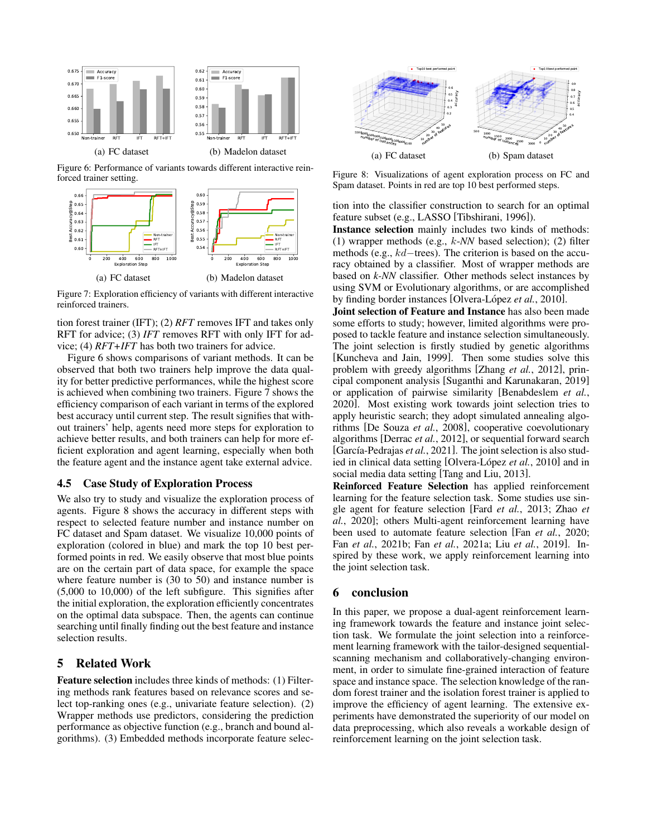<span id="page-5-0"></span>

<span id="page-5-1"></span>Figure 6: Performance of variants towards different interactive reinforced trainer setting.



Figure 7: Exploration efficiency of variants with different interactive reinforced trainers.

tion forest trainer (IFT); (2) *RFT* removes IFT and takes only RFT for advice; (3) *IFT* removes RFT with only IFT for advice; (4) *RFT+IFT* has both two trainers for advice.

Figure [6](#page-5-0) shows comparisons of variant methods. It can be observed that both two trainers help improve the data quality for better predictive performances, while the highest score is achieved when combining two trainers. Figure [7](#page-5-1) shows the efficiency comparison of each variant in terms of the explored best accuracy until current step. The result signifies that without trainers' help, agents need more steps for exploration to achieve better results, and both trainers can help for more efficient exploration and agent learning, especially when both the feature agent and the instance agent take external advice.

### 4.5 Case Study of Exploration Process

We also try to study and visualize the exploration process of agents. Figure [8](#page-5-2) shows the accuracy in different steps with respect to selected feature number and instance number on FC dataset and Spam dataset. We visualize 10,000 points of exploration (colored in blue) and mark the top 10 best performed points in red. We easily observe that most blue points are on the certain part of data space, for example the space where feature number is (30 to 50) and instance number is (5,000 to 10,000) of the left subfigure. This signifies after the initial exploration, the exploration efficiently concentrates on the optimal data subspace. Then, the agents can continue searching until finally finding out the best feature and instance selection results.

# 5 Related Work

Feature selection includes three kinds of methods: (1) Filtering methods rank features based on relevance scores and select top-ranking ones (e.g., univariate feature selection). (2) Wrapper methods use predictors, considering the prediction performance as objective function (e.g., branch and bound algorithms). (3) Embedded methods incorporate feature selec-

<span id="page-5-2"></span>

Figure 8: Visualizations of agent exploration process on FC and Spam dataset. Points in red are top 10 best performed steps.

tion into the classifier construction to search for an optimal feature subset (e.g., LASSO [\[Tibshirani, 1996\]](#page-7-5)).

Instance selection mainly includes two kinds of methods: (1) wrapper methods (e.g., k-*NN* based selection); (2) filter methods (e.g., kd−trees). The criterion is based on the accuracy obtained by a classifier. Most of wrapper methods are based on *k-NN* classifier. Other methods select instances by using SVM or Evolutionary algorithms, or are accomplished by finding border instances [Olvera-López et al., 2010].

Joint selection of Feature and Instance has also been made some efforts to study; however, limited algorithms were proposed to tackle feature and instance selection simultaneously. The joint selection is firstly studied by genetic algorithms [\[Kuncheva and Jain, 1999\]](#page-6-2). Then some studies solve this problem with greedy algorithms [Zhang *et al.*[, 2012\]](#page-7-7), principal component analysis [\[Suganthi and Karunakaran, 2019\]](#page-7-0) or application of pairwise similarity [\[Benabdeslem](#page-6-3) *et al.*, [2020\]](#page-6-3). Most existing work towards joint selection tries to apply heuristic search; they adopt simulated annealing algorithms [\[De Souza](#page-6-4) *et al.*, 2008], cooperative coevolutionary algorithms [\[Derrac](#page-6-18) *et al.*, 2012], or sequential forward search [García-Pedrajas *et al.*, 2021]. The joint selection is also studied in clinical data setting [Olvera-López *et al.*, 2010] and in social media data setting [\[Tang and Liu, 2013\]](#page-7-8).

Reinforced Feature Selection has applied reinforcement learning for the feature selection task. Some studies use single agent for feature selection [Fard *et al.*[, 2013;](#page-6-19) [Zhao](#page-7-9) *et al.*[, 2020\]](#page-7-9); others Multi-agent reinforcement learning have been used to automate feature selection [Fan *et al.*[, 2020;](#page-6-20) Fan *et al.*[, 2021b;](#page-6-21) Fan *et al.*[, 2021a;](#page-6-22) Liu *et al.*[, 2019\]](#page-6-6). Inspired by these work, we apply reinforcement learning into the joint selection task.

## 6 conclusion

In this paper, we propose a dual-agent reinforcement learning framework towards the feature and instance joint selection task. We formulate the joint selection into a reinforcement learning framework with the tailor-designed sequentialscanning mechanism and collaboratively-changing environment, in order to simulate fine-grained interaction of feature space and instance space. The selection knowledge of the random forest trainer and the isolation forest trainer is applied to improve the efficiency of agent learning. The extensive experiments have demonstrated the superiority of our model on data preprocessing, which also reveals a workable design of reinforcement learning on the joint selection task.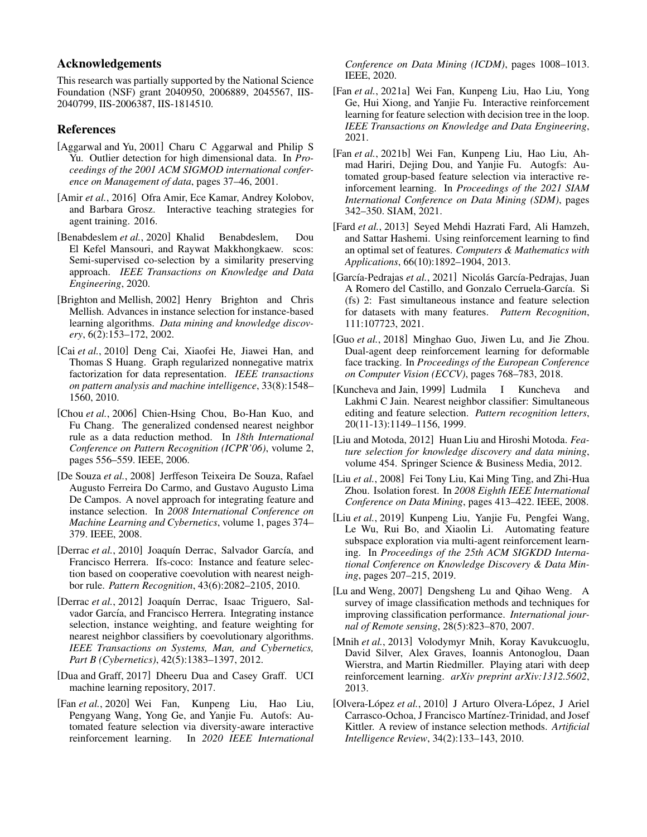# Acknowledgements

This research was partially supported by the National Science Foundation (NSF) grant 2040950, 2006889, 2045567, IIS-2040799, IIS-2006387, IIS-1814510.

# References

- <span id="page-6-11"></span>[Aggarwal and Yu, 2001] Charu C Aggarwal and Philip S Yu. Outlier detection for high dimensional data. In *Proceedings of the 2001 ACM SIGMOD international conference on Management of data*, pages 37–46, 2001.
- <span id="page-6-7"></span>[Amir *et al.*, 2016] Ofra Amir, Ece Kamar, Andrey Kolobov, and Barbara Grosz. Interactive teaching strategies for agent training. 2016.
- <span id="page-6-3"></span>[Benabdeslem *et al.*, 2020] Khalid Benabdeslem, Dou El Kefel Mansouri, and Raywat Makkhongkaew. scos: Semi-supervised co-selection by a similarity preserving approach. *IEEE Transactions on Knowledge and Data Engineering*, 2020.
- <span id="page-6-1"></span>[Brighton and Mellish, 2002] Henry Brighton and Chris Mellish. Advances in instance selection for instance-based learning algorithms. *Data mining and knowledge discovery*, 6(2):153–172, 2002.
- <span id="page-6-14"></span>[Cai *et al.*, 2010] Deng Cai, Xiaofei He, Jiawei Han, and Thomas S Huang. Graph regularized nonnegative matrix factorization for data representation. *IEEE transactions on pattern analysis and machine intelligence*, 33(8):1548– 1560, 2010.
- <span id="page-6-15"></span>[Chou et al., 2006] Chien-Hsing Chou, Bo-Han Kuo, and Fu Chang. The generalized condensed nearest neighbor rule as a data reduction method. In *18th International Conference on Pattern Recognition (ICPR'06)*, volume 2, pages 556–559. IEEE, 2006.
- <span id="page-6-4"></span>[De Souza *et al.*, 2008] Jerffeson Teixeira De Souza, Rafael Augusto Ferreira Do Carmo, and Gustavo Augusto Lima De Campos. A novel approach for integrating feature and instance selection. In *2008 International Conference on Machine Learning and Cybernetics*, volume 1, pages 374– 379. IEEE, 2008.
- <span id="page-6-16"></span>[Derrac et al., 2010] Joaquín Derrac, Salvador García, and Francisco Herrera. Ifs-coco: Instance and feature selection based on cooperative coevolution with nearest neighbor rule. *Pattern Recognition*, 43(6):2082–2105, 2010.
- <span id="page-6-18"></span>[Derrac *et al.*, 2012] Joaquín Derrac, Isaac Triguero, Salvador García, and Francisco Herrera. Integrating instance selection, instance weighting, and feature weighting for nearest neighbor classifiers by coevolutionary algorithms. *IEEE Transactions on Systems, Man, and Cybernetics, Part B (Cybernetics)*, 42(5):1383–1397, 2012.
- <span id="page-6-13"></span>[Dua and Graff, 2017] Dheeru Dua and Casey Graff. UCI machine learning repository, 2017.
- <span id="page-6-20"></span>[Fan *et al.*, 2020] Wei Fan, Kunpeng Liu, Hao Liu, Pengyang Wang, Yong Ge, and Yanjie Fu. Autofs: Automated feature selection via diversity-aware interactive reinforcement learning. In *2020 IEEE International*

*Conference on Data Mining (ICDM)*, pages 1008–1013. IEEE, 2020.

- <span id="page-6-22"></span>[Fan *et al.*, 2021a] Wei Fan, Kunpeng Liu, Hao Liu, Yong Ge, Hui Xiong, and Yanjie Fu. Interactive reinforcement learning for feature selection with decision tree in the loop. *IEEE Transactions on Knowledge and Data Engineering*, 2021.
- <span id="page-6-21"></span>[Fan *et al.*, 2021b] Wei Fan, Kunpeng Liu, Hao Liu, Ahmad Hariri, Dejing Dou, and Yanjie Fu. Autogfs: Automated group-based feature selection via interactive reinforcement learning. In *Proceedings of the 2021 SIAM International Conference on Data Mining (SDM)*, pages 342–350. SIAM, 2021.
- <span id="page-6-19"></span>[Fard *et al.*, 2013] Seyed Mehdi Hazrati Fard, Ali Hamzeh, and Sattar Hashemi. Using reinforcement learning to find an optimal set of features. *Computers & Mathematics with Applications*, 66(10):1892–1904, 2013.
- <span id="page-6-5"></span>[García-Pedrajas et al., 2021] Nicolás García-Pedrajas, Juan A Romero del Castillo, and Gonzalo Cerruela-García. Si (fs) 2: Fast simultaneous instance and feature selection for datasets with many features. *Pattern Recognition*, 111:107723, 2021.
- <span id="page-6-8"></span>[Guo *et al.*, 2018] Minghao Guo, Jiwen Lu, and Jie Zhou. Dual-agent deep reinforcement learning for deformable face tracking. In *Proceedings of the European Conference on Computer Vision (ECCV)*, pages 768–783, 2018.
- <span id="page-6-2"></span>[Kuncheva and Jain, 1999] Ludmila I Kuncheva and Lakhmi C Jain. Nearest neighbor classifier: Simultaneous editing and feature selection. *Pattern recognition letters*, 20(11-13):1149–1156, 1999.
- <span id="page-6-0"></span>[Liu and Motoda, 2012] Huan Liu and Hiroshi Motoda. *Feature selection for knowledge discovery and data mining*, volume 454. Springer Science & Business Media, 2012.
- <span id="page-6-12"></span>[Liu *et al.*, 2008] Fei Tony Liu, Kai Ming Ting, and Zhi-Hua Zhou. Isolation forest. In *2008 Eighth IEEE International Conference on Data Mining*, pages 413–422. IEEE, 2008.
- <span id="page-6-6"></span>[Liu *et al.*, 2019] Kunpeng Liu, Yanjie Fu, Pengfei Wang, Le Wu, Rui Bo, and Xiaolin Li. Automating feature subspace exploration via multi-agent reinforcement learning. In *Proceedings of the 25th ACM SIGKDD International Conference on Knowledge Discovery & Data Mining*, pages 207–215, 2019.
- <span id="page-6-9"></span>[Lu and Weng, 2007] Dengsheng Lu and Qihao Weng. A survey of image classification methods and techniques for improving classification performance. *International journal of Remote sensing*, 28(5):823–870, 2007.
- <span id="page-6-10"></span>[Mnih *et al.*, 2013] Volodymyr Mnih, Koray Kavukcuoglu, David Silver, Alex Graves, Ioannis Antonoglou, Daan Wierstra, and Martin Riedmiller. Playing atari with deep reinforcement learning. *arXiv preprint arXiv:1312.5602*, 2013.
- <span id="page-6-17"></span>[Olvera-López et al., 2010] J Arturo Olvera-López, J Ariel Carrasco-Ochoa, J Francisco Martínez-Trinidad, and Josef Kittler. A review of instance selection methods. *Artificial Intelligence Review*, 34(2):133–143, 2010.